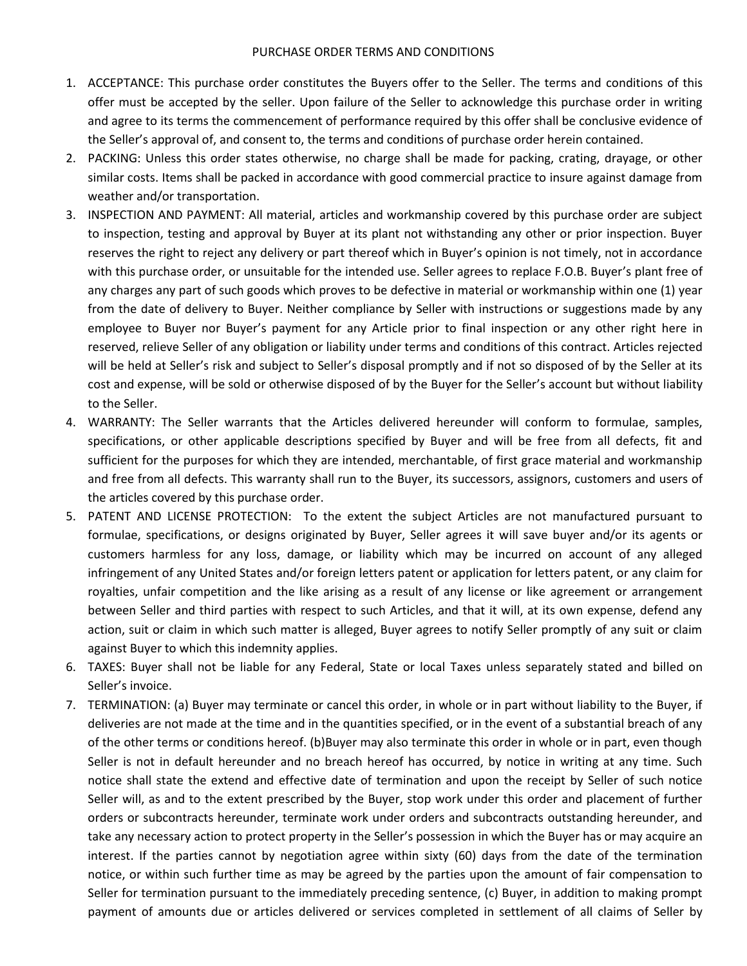## PURCHASE ORDER TERMS AND CONDITIONS

- 1. ACCEPTANCE: This purchase order constitutes the Buyers offer to the Seller. The terms and conditions of this offer must be accepted by the seller. Upon failure of the Seller to acknowledge this purchase order in writing and agree to its terms the commencement of performance required by this offer shall be conclusive evidence of the Seller's approval of, and consent to, the terms and conditions of purchase order herein contained.
- 2. PACKING: Unless this order states otherwise, no charge shall be made for packing, crating, drayage, or other similar costs. Items shall be packed in accordance with good commercial practice to insure against damage from weather and/or transportation.
- 3. INSPECTION AND PAYMENT: All material, articles and workmanship covered by this purchase order are subject to inspection, testing and approval by Buyer at its plant not withstanding any other or prior inspection. Buyer reserves the right to reject any delivery or part thereof which in Buyer's opinion is not timely, not in accordance with this purchase order, or unsuitable for the intended use. Seller agrees to replace F.O.B. Buyer's plant free of any charges any part of such goods which proves to be defective in material or workmanship within one (1) year from the date of delivery to Buyer. Neither compliance by Seller with instructions or suggestions made by any employee to Buyer nor Buyer's payment for any Article prior to final inspection or any other right here in reserved, relieve Seller of any obligation or liability under terms and conditions of this contract. Articles rejected will be held at Seller's risk and subject to Seller's disposal promptly and if not so disposed of by the Seller at its cost and expense, will be sold or otherwise disposed of by the Buyer for the Seller's account but without liability to the Seller.
- 4. WARRANTY: The Seller warrants that the Articles delivered hereunder will conform to formulae, samples, specifications, or other applicable descriptions specified by Buyer and will be free from all defects, fit and sufficient for the purposes for which they are intended, merchantable, of first grace material and workmanship and free from all defects. This warranty shall run to the Buyer, its successors, assignors, customers and users of the articles covered by this purchase order.
- 5. PATENT AND LICENSE PROTECTION: To the extent the subject Articles are not manufactured pursuant to formulae, specifications, or designs originated by Buyer, Seller agrees it will save buyer and/or its agents or customers harmless for any loss, damage, or liability which may be incurred on account of any alleged infringement of any United States and/or foreign letters patent or application for letters patent, or any claim for royalties, unfair competition and the like arising as a result of any license or like agreement or arrangement between Seller and third parties with respect to such Articles, and that it will, at its own expense, defend any action, suit or claim in which such matter is alleged, Buyer agrees to notify Seller promptly of any suit or claim against Buyer to which this indemnity applies.
- 6. TAXES: Buyer shall not be liable for any Federal, State or local Taxes unless separately stated and billed on Seller's invoice.
- 7. TERMINATION: (a) Buyer may terminate or cancel this order, in whole or in part without liability to the Buyer, if deliveries are not made at the time and in the quantities specified, or in the event of a substantial breach of any of the other terms or conditions hereof. (b)Buyer may also terminate this order in whole or in part, even though Seller is not in default hereunder and no breach hereof has occurred, by notice in writing at any time. Such notice shall state the extend and effective date of termination and upon the receipt by Seller of such notice Seller will, as and to the extent prescribed by the Buyer, stop work under this order and placement of further orders or subcontracts hereunder, terminate work under orders and subcontracts outstanding hereunder, and take any necessary action to protect property in the Seller's possession in which the Buyer has or may acquire an interest. If the parties cannot by negotiation agree within sixty (60) days from the date of the termination notice, or within such further time as may be agreed by the parties upon the amount of fair compensation to Seller for termination pursuant to the immediately preceding sentence, (c) Buyer, in addition to making prompt payment of amounts due or articles delivered or services completed in settlement of all claims of Seller by